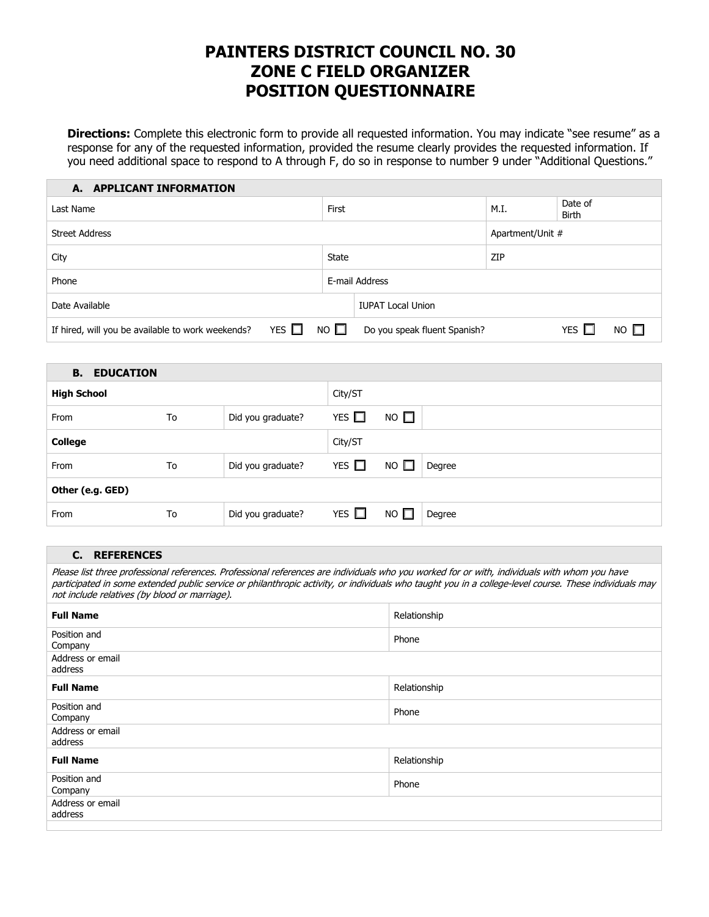# **PAINTERS DISTRICT COUNCIL NO. 30 ZONE C FIELD ORGANIZER POSITION QUESTIONNAIRE**

**Directions:** Complete this electronic form to provide all requested information. You may indicate "see resume" as a response for any of the requested information, provided the resume clearly provides the requested information. If you need additional space to respond to A through F, do so in response to number 9 under "Additional Questions."

| <b>APPLICANT INFORMATION</b><br>А.                              |             |                              |                  |                         |           |  |
|-----------------------------------------------------------------|-------------|------------------------------|------------------|-------------------------|-----------|--|
| Last Name                                                       |             |                              | M.I.             | Date of<br><b>Birth</b> |           |  |
| <b>Street Address</b>                                           |             |                              | Apartment/Unit # |                         |           |  |
| City                                                            |             |                              | ZIP              |                         |           |  |
| Phone                                                           |             | E-mail Address               |                  |                         |           |  |
| Date Available                                                  |             | <b>IUPAT Local Union</b>     |                  |                         |           |  |
| YES $\Box$<br>If hired, will you be available to work weekends? | $NO$ $\Box$ | Do you speak fluent Spanish? |                  | YES $\Box$              | $NO \Box$ |  |

| <b>B.</b><br><b>EDUCATION</b> |    |                   |            |                        |
|-------------------------------|----|-------------------|------------|------------------------|
| <b>High School</b>            |    |                   | City/ST    |                        |
| From                          | To | Did you graduate? | YES $\Box$ | $NO$ $\square$         |
| <b>College</b>                |    |                   | City/ST    |                        |
| From                          | To | Did you graduate? | YES $\Box$ | NO $\square$<br>Degree |
| Other (e.g. GED)              |    |                   |            |                        |
| From                          | To | Did you graduate? | YES $\Box$ | $NO$ $\Box$<br>Degree  |

### **C. REFERENCES**

Please list three professional references. Professional references are individuals who you worked for or with, individuals with whom you have participated in some extended public service or philanthropic activity, or individuals who taught you in a college-level course. These individuals may not include relatives (by blood or marriage).

| <b>Full Name</b>            | Relationship |
|-----------------------------|--------------|
| Position and<br>Company     | Phone        |
| Address or email<br>address |              |
| <b>Full Name</b>            | Relationship |
| Position and<br>Company     | Phone        |
| Address or email<br>address |              |
| <b>Full Name</b>            | Relationship |
| Position and<br>Company     | Phone        |
| Address or email<br>address |              |
|                             |              |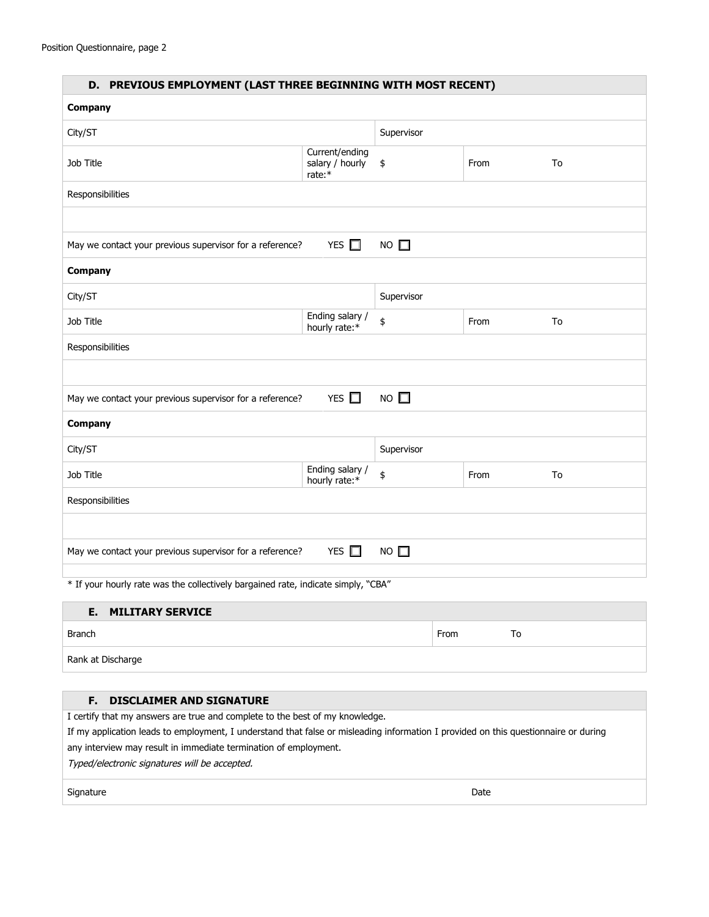| D. PREVIOUS EMPLOYMENT (LAST THREE BEGINNING WITH MOST RECENT)                              |                                             |             |      |    |  |
|---------------------------------------------------------------------------------------------|---------------------------------------------|-------------|------|----|--|
| Company                                                                                     |                                             |             |      |    |  |
| City/ST                                                                                     |                                             | Supervisor  |      |    |  |
| Job Title                                                                                   | Current/ending<br>salary / hourly<br>rate:* | \$          | From | To |  |
| Responsibilities                                                                            |                                             |             |      |    |  |
|                                                                                             |                                             |             |      |    |  |
| May we contact your previous supervisor for a reference?                                    | YES $\Box$                                  | $NO$ $\Box$ |      |    |  |
| Company                                                                                     |                                             |             |      |    |  |
| City/ST                                                                                     |                                             | Supervisor  |      |    |  |
| Job Title                                                                                   | Ending salary /<br>hourly rate:*            | \$          | From | To |  |
| Responsibilities                                                                            |                                             |             |      |    |  |
|                                                                                             |                                             |             |      |    |  |
| YES $\square$<br>$NO$ $\square$<br>May we contact your previous supervisor for a reference? |                                             |             |      |    |  |
| Company                                                                                     |                                             |             |      |    |  |
| City/ST                                                                                     |                                             | Supervisor  |      |    |  |
| Job Title                                                                                   | Ending salary /<br>hourly rate:*            | \$          | From | To |  |
| Responsibilities                                                                            |                                             |             |      |    |  |
|                                                                                             |                                             |             |      |    |  |
| YES $\square$<br>$NO$ $\square$<br>May we contact your previous supervisor for a reference? |                                             |             |      |    |  |
| * If your hourly rate was the collectively bargained rate, indicate simply, "CBA"           |                                             |             |      |    |  |

#### **E. MILITARY SERVICE**

| Branch            | From | 1 O |
|-------------------|------|-----|
| Rank at Discharge |      |     |

### **F. DISCLAIMER AND SIGNATURE**

I certify that my answers are true and complete to the best of my knowledge.

If my application leads to employment, I understand that false or misleading information I provided on this questionnaire or during

any interview may result in immediate termination of employment.

Typed/electronic signatures will be accepted.

signature **Date**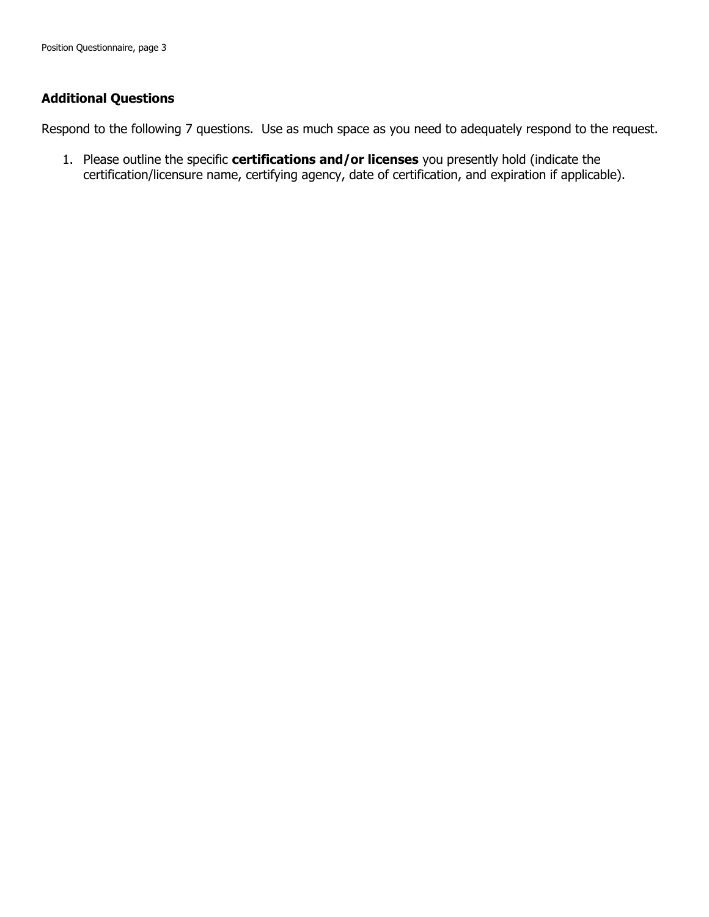## **Additional Questions**

Respond to the following 7 questions. Use as much space as you need to adequately respond to the request.

1. Please outline the specific **certifications and/or licenses** you presently hold (indicate the certification/licensure name, certifying agency, date of certification, and expiration if applicable).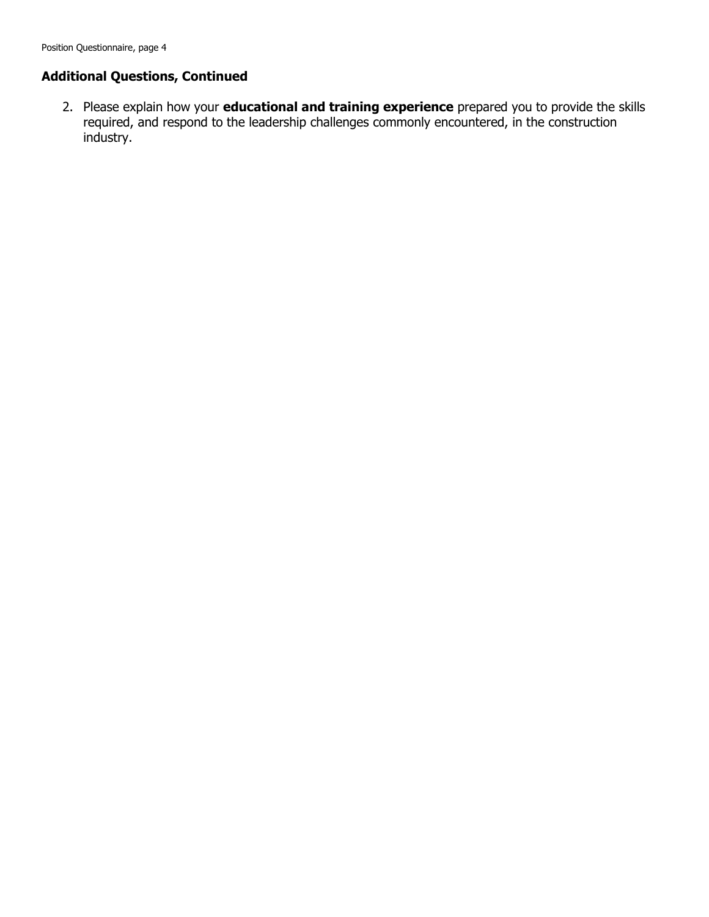2. Please explain how your **educational and training experience** prepared you to provide the skills required, and respond to the leadership challenges commonly encountered, in the construction industry.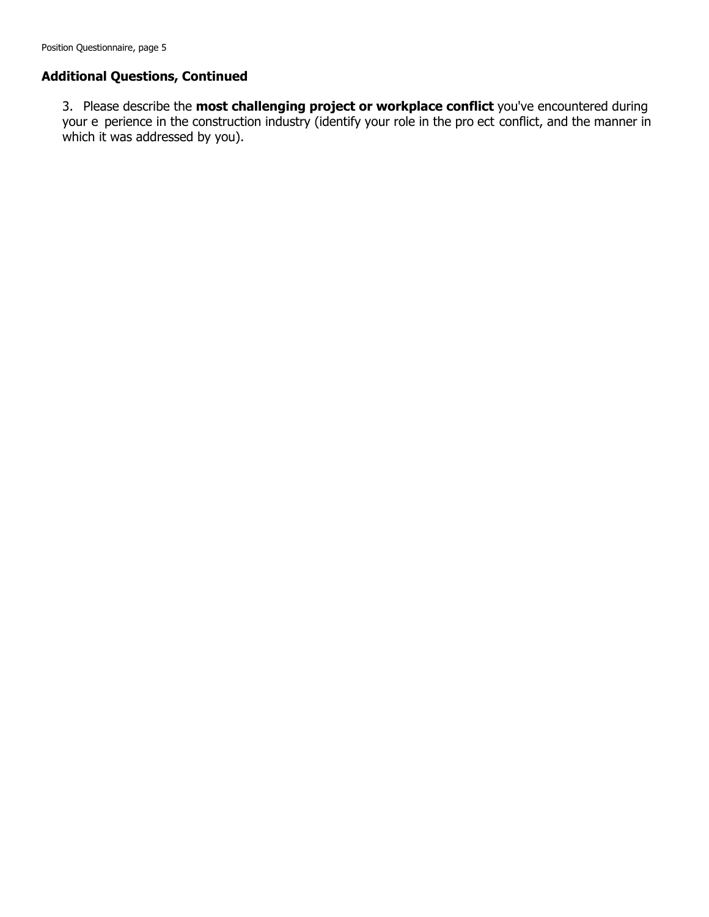3. Please describe the **most challenging project or workplace conflict** you've encountered during your e perience in the construction industry (identify your role in the pro ect conflict, and the manner in which it was addressed by you).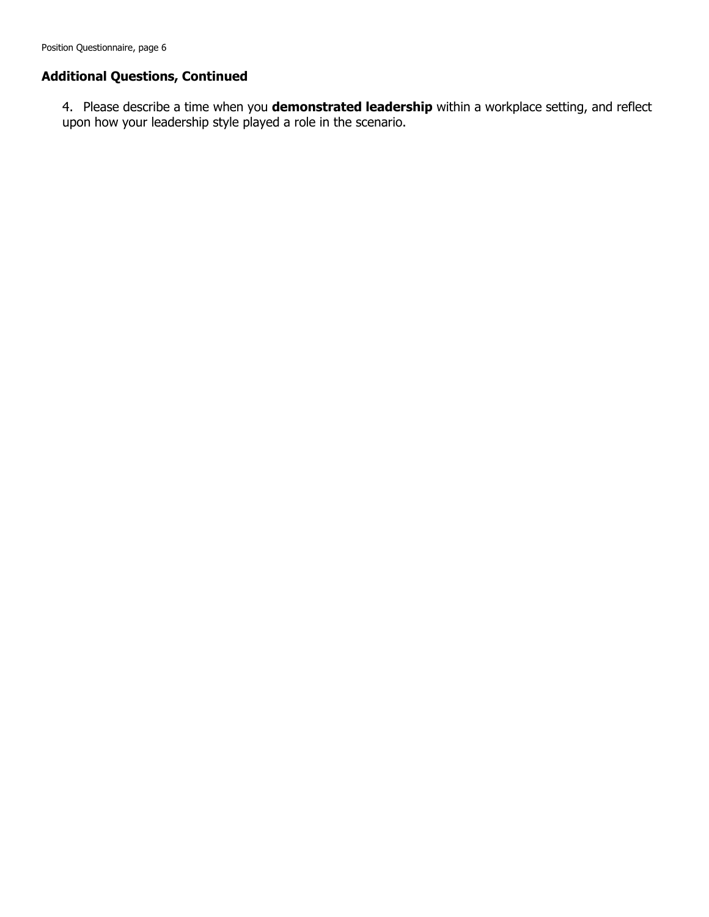Position Questionnaire, page 6

## **Additional Questions, Continued**

4. Please describe a time when you **demonstrated leadership** within a workplace setting, and reflect upon how your leadership style played a role in the scenario.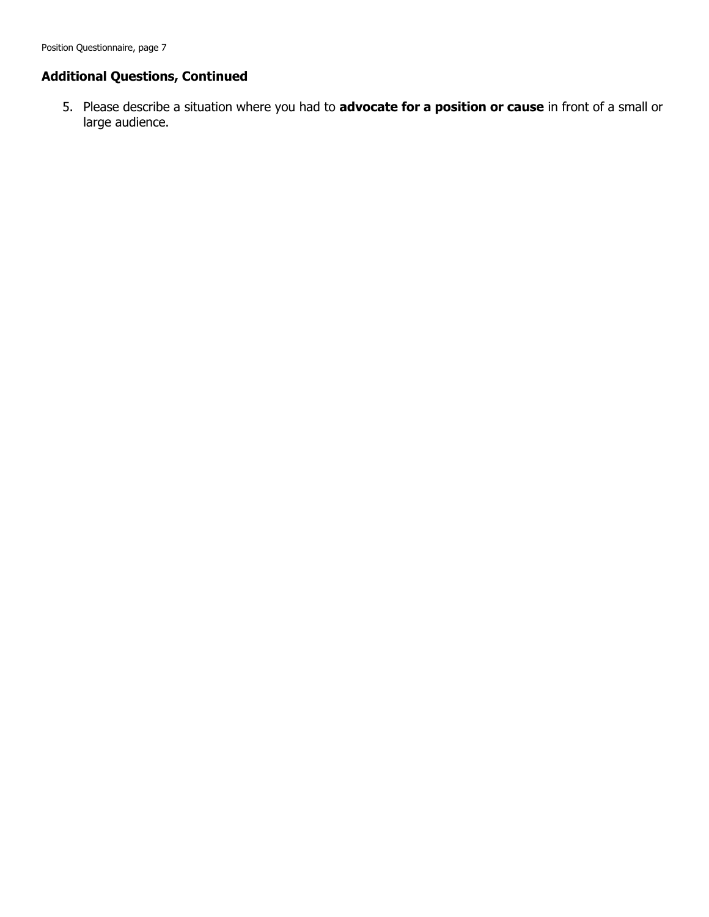5. Please describe a situation where you had to **advocate for a position or cause** in front of a small or large audience.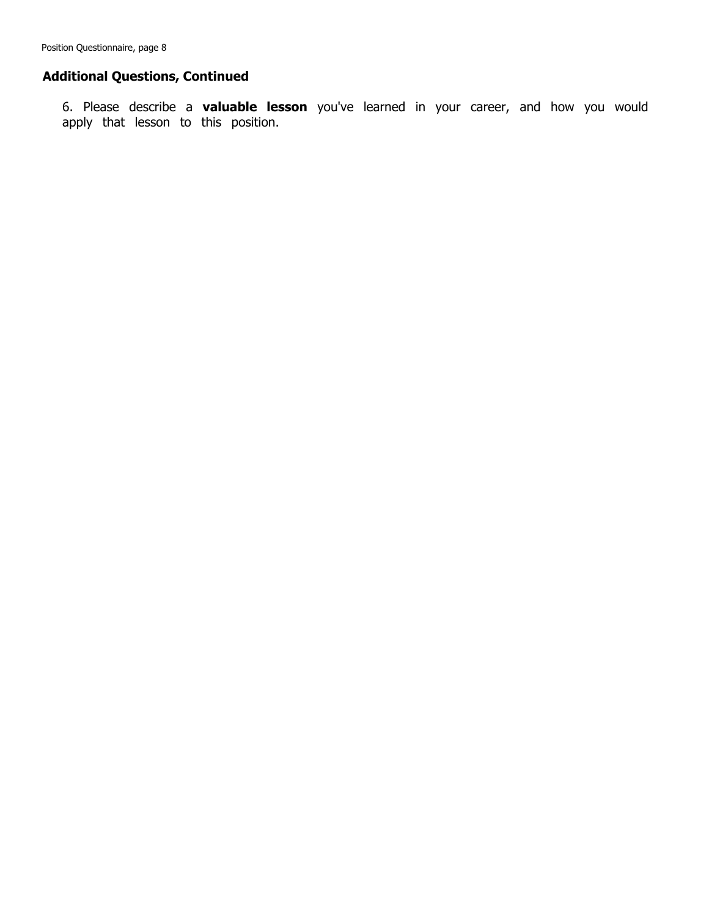6. Please describe a **valuable lesson** you've learned in your career, and how you would apply that lesson to this position.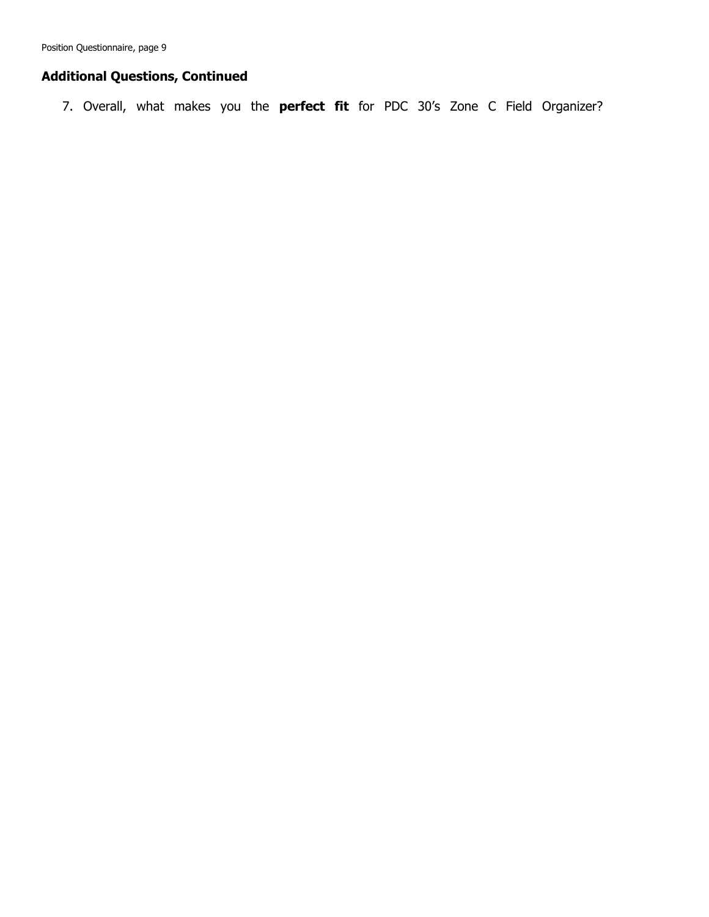Position Questionnaire, page 9

## **Additional Questions, Continued**

7. Overall, what makes you the **perfect fit** for PDC 30's Zone C Field Organizer?